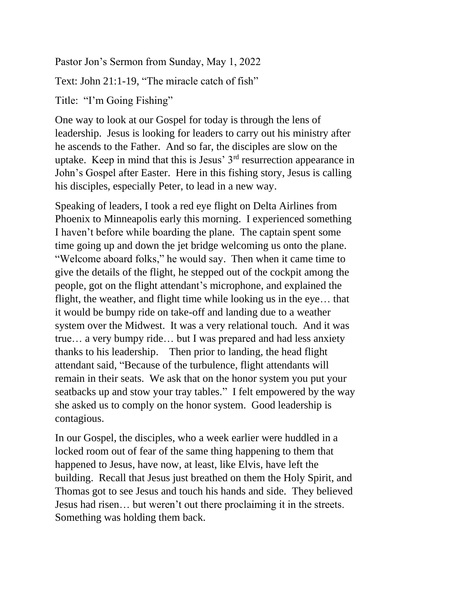Pastor Jon's Sermon from Sunday, May 1, 2022

Text: John 21:1-19, "The miracle catch of fish"

Title: "I'm Going Fishing"

One way to look at our Gospel for today is through the lens of leadership. Jesus is looking for leaders to carry out his ministry after he ascends to the Father. And so far, the disciples are slow on the uptake. Keep in mind that this is Jesus' 3rd resurrection appearance in John's Gospel after Easter. Here in this fishing story, Jesus is calling his disciples, especially Peter, to lead in a new way.

Speaking of leaders, I took a red eye flight on Delta Airlines from Phoenix to Minneapolis early this morning. I experienced something I haven't before while boarding the plane. The captain spent some time going up and down the jet bridge welcoming us onto the plane. "Welcome aboard folks," he would say. Then when it came time to give the details of the flight, he stepped out of the cockpit among the people, got on the flight attendant's microphone, and explained the flight, the weather, and flight time while looking us in the eye… that it would be bumpy ride on take-off and landing due to a weather system over the Midwest. It was a very relational touch. And it was true… a very bumpy ride… but I was prepared and had less anxiety thanks to his leadership. Then prior to landing, the head flight attendant said, "Because of the turbulence, flight attendants will remain in their seats. We ask that on the honor system you put your seatbacks up and stow your tray tables." I felt empowered by the way she asked us to comply on the honor system. Good leadership is contagious.

In our Gospel, the disciples, who a week earlier were huddled in a locked room out of fear of the same thing happening to them that happened to Jesus, have now, at least, like Elvis, have left the building. Recall that Jesus just breathed on them the Holy Spirit, and Thomas got to see Jesus and touch his hands and side. They believed Jesus had risen… but weren't out there proclaiming it in the streets. Something was holding them back.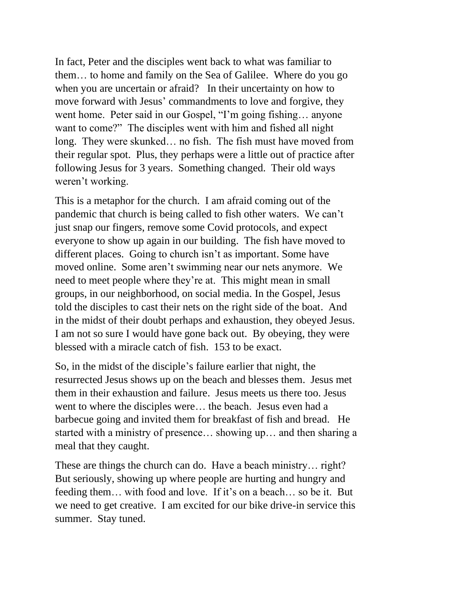In fact, Peter and the disciples went back to what was familiar to them… to home and family on the Sea of Galilee. Where do you go when you are uncertain or afraid? In their uncertainty on how to move forward with Jesus' commandments to love and forgive, they went home. Peter said in our Gospel, "I'm going fishing… anyone want to come?" The disciples went with him and fished all night long. They were skunked… no fish. The fish must have moved from their regular spot. Plus, they perhaps were a little out of practice after following Jesus for 3 years. Something changed. Their old ways weren't working.

This is a metaphor for the church. I am afraid coming out of the pandemic that church is being called to fish other waters. We can't just snap our fingers, remove some Covid protocols, and expect everyone to show up again in our building. The fish have moved to different places. Going to church isn't as important. Some have moved online. Some aren't swimming near our nets anymore. We need to meet people where they're at. This might mean in small groups, in our neighborhood, on social media. In the Gospel, Jesus told the disciples to cast their nets on the right side of the boat. And in the midst of their doubt perhaps and exhaustion, they obeyed Jesus. I am not so sure I would have gone back out. By obeying, they were blessed with a miracle catch of fish. 153 to be exact.

So, in the midst of the disciple's failure earlier that night, the resurrected Jesus shows up on the beach and blesses them. Jesus met them in their exhaustion and failure. Jesus meets us there too. Jesus went to where the disciples were… the beach. Jesus even had a barbecue going and invited them for breakfast of fish and bread. He started with a ministry of presence… showing up… and then sharing a meal that they caught.

These are things the church can do. Have a beach ministry… right? But seriously, showing up where people are hurting and hungry and feeding them… with food and love. If it's on a beach… so be it. But we need to get creative. I am excited for our bike drive-in service this summer. Stay tuned.